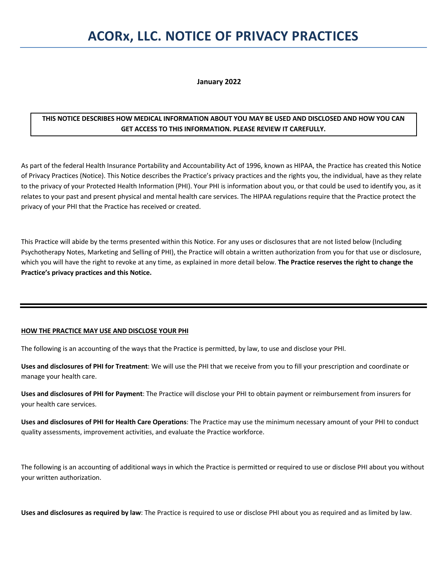# **ACORx, LLC. NOTICE OF PRIVACY PRACTICES**

**January 2022**

## **THIS NOTICE DESCRIBES HOW MEDICAL INFORMATION ABOUT YOU MAY BE USED AND DISCLOSED AND HOW YOU CAN GET ACCESS TO THIS INFORMATION. PLEASE REVIEW IT CAREFULLY.**

As part of the federal Health Insurance Portability and Accountability Act of 1996, known as HIPAA, the Practice has created this Notice of Privacy Practices (Notice). This Notice describes the Practice's privacy practices and the rights you, the individual, have as they relate to the privacy of your Protected Health Information (PHI). Your PHI is information about you, or that could be used to identify you, as it relates to your past and present physical and mental health care services. The HIPAA regulations require that the Practice protect the privacy of your PHI that the Practice has received or created.

This Practice will abide by the terms presented within this Notice. For any uses or disclosures that are not listed below (Including Psychotherapy Notes, Marketing and Selling of PHI), the Practice will obtain a written authorization from you for that use or disclosure, which you will have the right to revoke at any time, as explained in more detail below. **The Practice reserves the right to change the Practice's privacy practices and this Notice.**

## **HOW THE PRACTICE MAY USE AND DISCLOSE YOUR PHI**

The following is an accounting of the ways that the Practice is permitted, by law, to use and disclose your PHI.

**Uses and disclosures of PHI for Treatment**: We will use the PHI that we receive from you to fill your prescription and coordinate or manage your health care.

**Uses and disclosures of PHI for Payment**: The Practice will disclose your PHI to obtain payment or reimbursement from insurers for your health care services.

**Uses and disclosures of PHI for Health Care Operations**: The Practice may use the minimum necessary amount of your PHI to conduct quality assessments, improvement activities, and evaluate the Practice workforce.

The following is an accounting of additional ways in which the Practice is permitted or required to use or disclose PHI about you without your written authorization.

**Uses and disclosures as required by law**: The Practice is required to use or disclose PHI about you as required and as limited by law.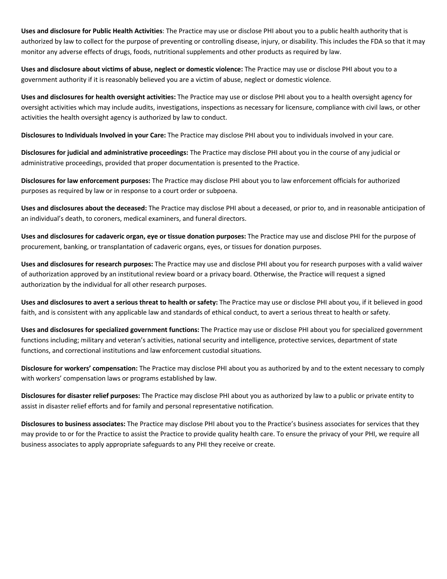**Uses and disclosure for Public Health Activities**: The Practice may use or disclose PHI about you to a public health authority that is authorized by law to collect for the purpose of preventing or controlling disease, injury, or disability. This includes the FDA so that it may monitor any adverse effects of drugs, foods, nutritional supplements and other products as required by law.

**Uses and disclosure about victims of abuse, neglect or domestic violence:** The Practice may use or disclose PHI about you to a government authority if it is reasonably believed you are a victim of abuse, neglect or domestic violence.

**Uses and disclosures for health oversight activities:** The Practice may use or disclose PHI about you to a health oversight agency for oversight activities which may include audits, investigations, inspections as necessary for licensure, compliance with civil laws, or other activities the health oversight agency is authorized by law to conduct.

**Disclosures to Individuals Involved in your Care:** The Practice may disclose PHI about you to individuals involved in your care.

**Disclosures for judicial and administrative proceedings:** The Practice may disclose PHI about you in the course of any judicial or administrative proceedings, provided that proper documentation is presented to the Practice.

**Disclosures for law enforcement purposes:** The Practice may disclose PHI about you to law enforcement officials for authorized purposes as required by law or in response to a court order or subpoena.

**Uses and disclosures about the deceased:** The Practice may disclose PHI about a deceased, or prior to, and in reasonable anticipation of an individual's death, to coroners, medical examiners, and funeral directors.

**Uses and disclosures for cadaveric organ, eye or tissue donation purposes:** The Practice may use and disclose PHI for the purpose of procurement, banking, or transplantation of cadaveric organs, eyes, or tissues for donation purposes.

**Uses and disclosures for research purposes:** The Practice may use and disclose PHI about you for research purposes with a valid waiver of authorization approved by an institutional review board or a privacy board. Otherwise, the Practice will request a signed authorization by the individual for all other research purposes.

**Uses and disclosures to avert a serious threat to health or safety:** The Practice may use or disclose PHI about you, if it believed in good faith, and is consistent with any applicable law and standards of ethical conduct, to avert a serious threat to health or safety.

**Uses and disclosures for specialized government functions:** The Practice may use or disclose PHI about you for specialized government functions including; military and veteran's activities, national security and intelligence, protective services, department of state functions, and correctional institutions and law enforcement custodial situations.

**Disclosure for workers' compensation:** The Practice may disclose PHI about you as authorized by and to the extent necessary to comply with workers' compensation laws or programs established by law.

**Disclosures for disaster relief purposes:** The Practice may disclose PHI about you as authorized by law to a public or private entity to assist in disaster relief efforts and for family and personal representative notification.

**Disclosures to business associates:** The Practice may disclose PHI about you to the Practice's business associates for services that they may provide to or for the Practice to assist the Practice to provide quality health care. To ensure the privacy of your PHI, we require all business associates to apply appropriate safeguards to any PHI they receive or create.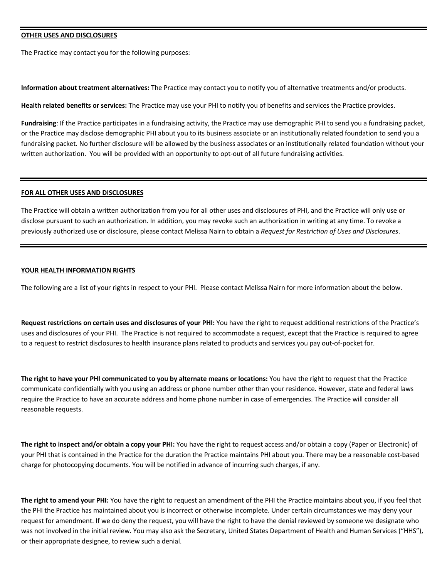### **OTHER USES AND DISCLOSURES**

The Practice may contact you for the following purposes:

**Information about treatment alternatives:** The Practice may contact you to notify you of alternative treatments and/or products.

**Health related benefits or services:** The Practice may use your PHI to notify you of benefits and services the Practice provides.

**Fundraising**: If the Practice participates in a fundraising activity, the Practice may use demographic PHI to send you a fundraising packet, or the Practice may disclose demographic PHI about you to its business associate or an institutionally related foundation to send you a fundraising packet. No further disclosure will be allowed by the business associates or an institutionally related foundation without your written authorization. You will be provided with an opportunity to opt-out of all future fundraising activities.

#### **FOR ALL OTHER USES AND DISCLOSURES**

The Practice will obtain a written authorization from you for all other uses and disclosures of PHI, and the Practice will only use or disclose pursuant to such an authorization. In addition, you may revoke such an authorization in writing at any time. To revoke a previously authorized use or disclosure, please contact Melissa Nairn to obtain a *Request for Restriction of Uses and Disclosures*.

## **YOUR HEALTH INFORMATION RIGHTS**

The following are a list of your rights in respect to your PHI. Please contact Melissa Nairn for more information about the below.

**Request restrictions on certain uses and disclosures of your PHI:** You have the right to request additional restrictions of the Practice's uses and disclosures of your PHI. The Practice is not required to accommodate a request, except that the Practice is required to agree to a request to restrict disclosures to health insurance plans related to products and services you pay out-of-pocket for.

**The right to have your PHI communicated to you by alternate means or locations:** You have the right to request that the Practice communicate confidentially with you using an address or phone number other than your residence. However, state and federal laws require the Practice to have an accurate address and home phone number in case of emergencies. The Practice will consider all reasonable requests.

**The right to inspect and/or obtain a copy your PHI:** You have the right to request access and/or obtain a copy (Paper or Electronic) of your PHI that is contained in the Practice for the duration the Practice maintains PHI about you. There may be a reasonable cost-based charge for photocopying documents. You will be notified in advance of incurring such charges, if any.

**The right to amend your PHI:** You have the right to request an amendment of the PHI the Practice maintains about you, if you feel that the PHI the Practice has maintained about you is incorrect or otherwise incomplete. Under certain circumstances we may deny your request for amendment. If we do deny the request, you will have the right to have the denial reviewed by someone we designate who was not involved in the initial review. You may also ask the Secretary, United States Department of Health and Human Services ("HHS"), or their appropriate designee, to review such a denial.